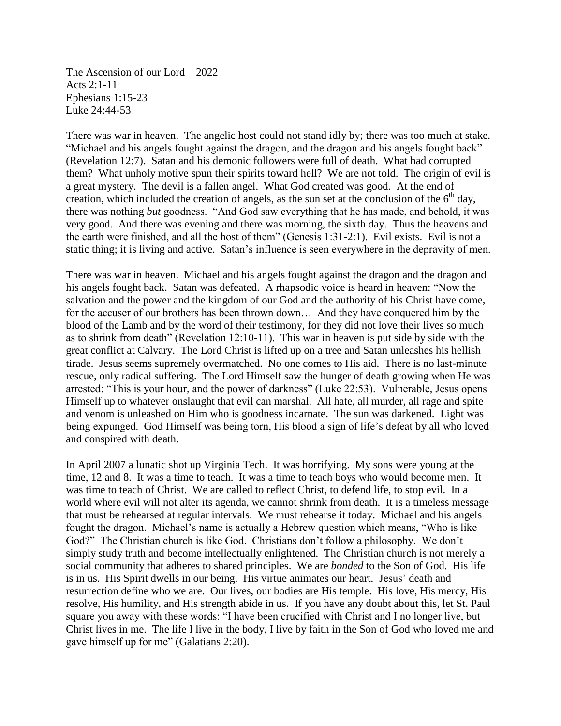The Ascension of our Lord – 2022 Acts 2:1-11 Ephesians 1:15-23 Luke 24:44-53

There was war in heaven. The angelic host could not stand idly by; there was too much at stake. "Michael and his angels fought against the dragon, and the dragon and his angels fought back" (Revelation 12:7). Satan and his demonic followers were full of death. What had corrupted them? What unholy motive spun their spirits toward hell? We are not told. The origin of evil is a great mystery. The devil is a fallen angel. What God created was good. At the end of creation, which included the creation of angels, as the sun set at the conclusion of the  $6<sup>th</sup>$  day, there was nothing *but* goodness. "And God saw everything that he has made, and behold, it was very good. And there was evening and there was morning, the sixth day. Thus the heavens and the earth were finished, and all the host of them" (Genesis 1:31-2:1). Evil exists. Evil is not a static thing; it is living and active. Satan's influence is seen everywhere in the depravity of men.

There was war in heaven. Michael and his angels fought against the dragon and the dragon and his angels fought back. Satan was defeated. A rhapsodic voice is heard in heaven: "Now the salvation and the power and the kingdom of our God and the authority of his Christ have come, for the accuser of our brothers has been thrown down… And they have conquered him by the blood of the Lamb and by the word of their testimony, for they did not love their lives so much as to shrink from death" (Revelation 12:10-11). This war in heaven is put side by side with the great conflict at Calvary. The Lord Christ is lifted up on a tree and Satan unleashes his hellish tirade. Jesus seems supremely overmatched. No one comes to His aid. There is no last-minute rescue, only radical suffering. The Lord Himself saw the hunger of death growing when He was arrested: "This is your hour, and the power of darkness" (Luke 22:53). Vulnerable, Jesus opens Himself up to whatever onslaught that evil can marshal. All hate, all murder, all rage and spite and venom is unleashed on Him who is goodness incarnate. The sun was darkened. Light was being expunged. God Himself was being torn, His blood a sign of life's defeat by all who loved and conspired with death.

In April 2007 a lunatic shot up Virginia Tech. It was horrifying. My sons were young at the time, 12 and 8. It was a time to teach. It was a time to teach boys who would become men. It was time to teach of Christ. We are called to reflect Christ, to defend life, to stop evil. In a world where evil will not alter its agenda, we cannot shrink from death. It is a timeless message that must be rehearsed at regular intervals. We must rehearse it today. Michael and his angels fought the dragon. Michael's name is actually a Hebrew question which means, "Who is like God?" The Christian church is like God. Christians don't follow a philosophy. We don't simply study truth and become intellectually enlightened. The Christian church is not merely a social community that adheres to shared principles. We are *bonded* to the Son of God. His life is in us. His Spirit dwells in our being. His virtue animates our heart. Jesus' death and resurrection define who we are. Our lives, our bodies are His temple. His love, His mercy, His resolve, His humility, and His strength abide in us. If you have any doubt about this, let St. Paul square you away with these words: "I have been crucified with Christ and I no longer live, but Christ lives in me. The life I live in the body, I live by faith in the Son of God who loved me and gave himself up for me" (Galatians 2:20).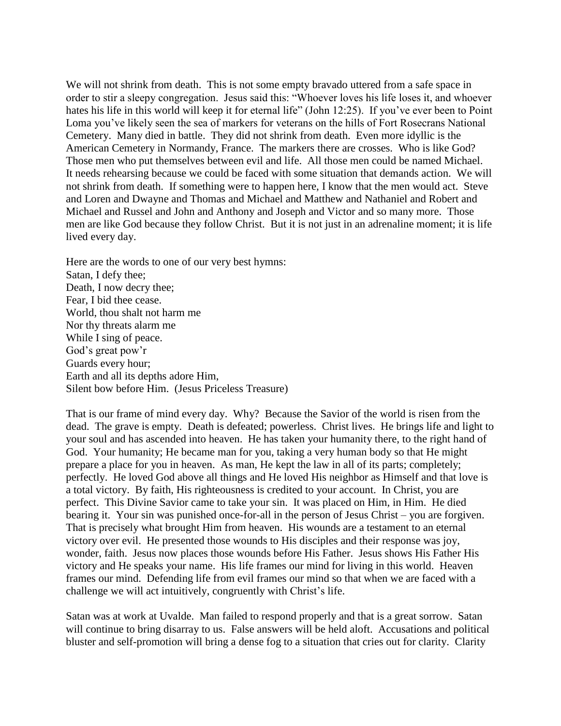We will not shrink from death. This is not some empty bravado uttered from a safe space in order to stir a sleepy congregation. Jesus said this: "Whoever loves his life loses it, and whoever hates his life in this world will keep it for eternal life" (John 12:25). If you've ever been to Point Loma you've likely seen the sea of markers for veterans on the hills of Fort Rosecrans National Cemetery. Many died in battle. They did not shrink from death. Even more idyllic is the American Cemetery in Normandy, France. The markers there are crosses. Who is like God? Those men who put themselves between evil and life. All those men could be named Michael. It needs rehearsing because we could be faced with some situation that demands action. We will not shrink from death. If something were to happen here, I know that the men would act. Steve and Loren and Dwayne and Thomas and Michael and Matthew and Nathaniel and Robert and Michael and Russel and John and Anthony and Joseph and Victor and so many more. Those men are like God because they follow Christ. But it is not just in an adrenaline moment; it is life lived every day.

Here are the words to one of our very best hymns: Satan, I defy thee; Death, I now decry thee; Fear, I bid thee cease. World, thou shalt not harm me Nor thy threats alarm me While I sing of peace. God's great pow'r Guards every hour; Earth and all its depths adore Him, Silent bow before Him. (Jesus Priceless Treasure)

That is our frame of mind every day. Why? Because the Savior of the world is risen from the dead. The grave is empty. Death is defeated; powerless. Christ lives. He brings life and light to your soul and has ascended into heaven. He has taken your humanity there, to the right hand of God. Your humanity; He became man for you, taking a very human body so that He might prepare a place for you in heaven. As man, He kept the law in all of its parts; completely; perfectly. He loved God above all things and He loved His neighbor as Himself and that love is a total victory. By faith, His righteousness is credited to your account. In Christ, you are perfect. This Divine Savior came to take your sin. It was placed on Him, in Him. He died bearing it. Your sin was punished once-for-all in the person of Jesus Christ – you are forgiven. That is precisely what brought Him from heaven. His wounds are a testament to an eternal victory over evil. He presented those wounds to His disciples and their response was joy, wonder, faith. Jesus now places those wounds before His Father. Jesus shows His Father His victory and He speaks your name. His life frames our mind for living in this world. Heaven frames our mind. Defending life from evil frames our mind so that when we are faced with a challenge we will act intuitively, congruently with Christ's life.

Satan was at work at Uvalde. Man failed to respond properly and that is a great sorrow. Satan will continue to bring disarray to us. False answers will be held aloft. Accusations and political bluster and self-promotion will bring a dense fog to a situation that cries out for clarity. Clarity